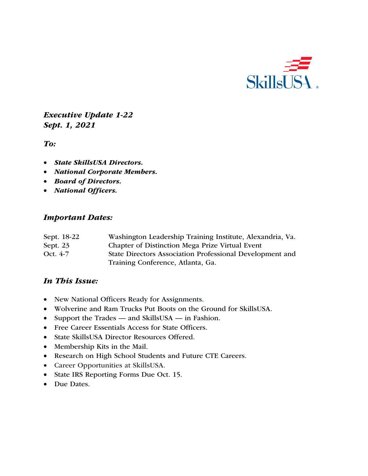

*Executive Update 1-22 Sept. 1, 2021*

*To:* 

- *State SkillsUSA Directors.*
- *National Corporate Members.*
- *Board of Directors.*
- *National Officers.*

#### *Important Dates:*

| Sept. 18-22 | Washington Leadership Training Institute, Alexandria, Va. |
|-------------|-----------------------------------------------------------|
| Sept. $23$  | Chapter of Distinction Mega Prize Virtual Event           |
| Oct. 4-7    | State Directors Association Professional Development and  |
|             | Training Conference, Atlanta, Ga.                         |

#### *In This Issue:*

- New National Officers Ready for Assignments.
- Wolverine and Ram Trucks Put Boots on the Ground for SkillsUSA.
- Support the Trades and SkillsUSA in Fashion.
- Free Career Essentials Access for State Officers.
- State SkillsUSA Director Resources Offered.
- Membership Kits in the Mail.
- Research on High School Students and Future CTE Careers.
- Career Opportunities at SkillsUSA.
- State IRS Reporting Forms Due Oct. 15.
- Due Dates.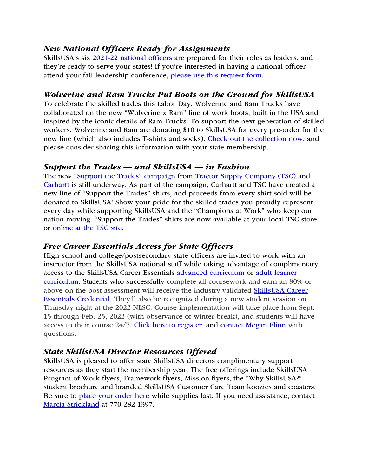#### *New National Officers Ready for Assignments*

SkillsUSA's six 2021-22 national officers are prepared for their roles as leaders, and they're ready to serve your states! If you're interested in having a national officer attend your fall leadership conference, please use this request form.

#### *Wolverine and Ram Trucks Put Boots on the Ground for SkillsUSA*

To celebrate the skilled trades this Labor Day, Wolverine and Ram Trucks have collaborated on the new "Wolverine x Ram" line of work boots, built in the USA and inspired by the iconic details of Ram Trucks. To support the next generation of skilled workers, Wolverine and Ram are donating \$10 to SkillsUSA for every pre-order for the new line (which also includes T-shirts and socks). Check out the collection now, and please consider sharing this information with your state membership.

#### *Support the Trades — and SkillsUSA — in Fashion*

The new "Support the Trades" campaign from Tractor Supply Company (TSC) and Carhartt is still underway. As part of the campaign, Carhartt and TSC have created a new line of "Support the Trades" shirts, and proceeds from every shirt sold will be donated to SkillsUSA! Show your pride for the skilled trades you proudly represent every day while supporting SkillsUSA and the "Champions at Work" who keep our nation moving. "Support the Trades" shirts are now available at your local TSC store or online at the TSC site.

#### *Free Career Essentials Access for State Officers*

High school and college/postsecondary state officers are invited to work with an instructor from the SkillsUSA national staff while taking advantage of complimentary access to the SkillsUSA Career Essentials advanced curriculum or adult learner curriculum. Students who successfully complete all coursework and earn an 80% or above on the post-assessment will receive the industry-validated SkillsUSA Career Essentials Credential. They'll also be recognized during a new student session on Thursday night at the 2022 NLSC. Course implementation will take place from Sept. 15 through Feb. 25, 2022 (with observance of winter break), and students will have access to their course 24/7. Click here to register, and contact Megan Flinn with questions.

## *State SkillsUSA Director Resources Offered*

SkillsUSA is pleased to offer state SkillsUSA directors complimentary support resources as they start the membership year. The free offerings include SkillsUSA Program of Work flyers, Framework flyers, Mission flyers, the "Why SkillsUSA?" student brochure and branded SkillsUSA Customer Care Team koozies and coasters. Be sure to place your order here while supplies last. If you need assistance, contact Marcia Strickland at 770-282-1397.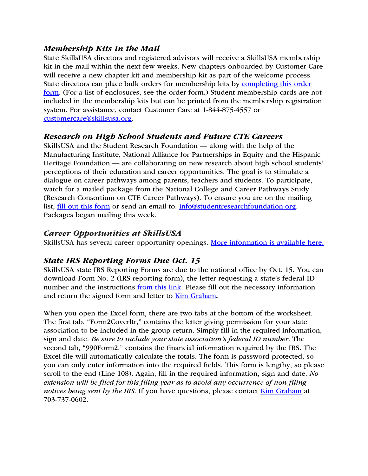#### *Membership Kits in the Mail*

State SkillsUSA directors and registered advisors will receive a SkillsUSA membership kit in the mail within the next few weeks. New chapters onboarded by Customer Care will receive a new chapter kit and membership kit as part of the welcome process. State directors can place bulk orders for membership kits by completing this order form. (For a list of enclosures, see the order form.) Student membership cards are not included in the membership kits but can be printed from the membership registration system. For assistance, contact Customer Care at 1-844-875-4557 or customercare@skillsusa.org.

#### *Research on High School Students and Future CTE Careers*

SkillsUSA and the Student Research Foundation — along with the help of the Manufacturing Institute, National Alliance for Partnerships in Equity and the Hispanic Heritage Foundation — are collaborating on new research about high school students' perceptions of their education and career opportunities. The goal is to stimulate a dialogue on career pathways among parents, teachers and students. To participate, watch for a mailed package from the National College and Career Pathways Study (Research Consortium on CTE Career Pathways). To ensure you are on the mailing list, fill out this form or send an email to: info@studentresearchfoundation.org. Packages began mailing this week.

#### *Career Opportunities at SkillsUSA*

SkillsUSA has several career opportunity openings. More information is available here.

## *State IRS Reporting Forms Due Oct. 15*

SkillsUSA state IRS Reporting Forms are due to the national office by Oct. 15. You can download Form No. 2 (IRS reporting form), the letter requesting a state's federal ID number and the instructions from this link. Please fill out the necessary information and return the signed form and letter to Kim Graham*.* 

When you open the Excel form, there are two tabs at the bottom of the worksheet. The first tab, "Form2Coverltr," contains the letter giving permission for your state association to be included in the group return. Simply fill in the required information, sign and date. *Be sure to include your state association's federal ID number.* The second tab, "990Form2," contains the financial information required by the IRS. The Excel file will automatically calculate the totals. The form is password protected, so you can only enter information into the required fields. This form is lengthy, so please scroll to the end (Line 108). Again, fill in the required information, sign and date. *No extension will be filed for this filing year as to avoid any occurrence of non-filing notices being sent by the IRS.* If you have questions, please contact Kim Graham at 703-737-0602.